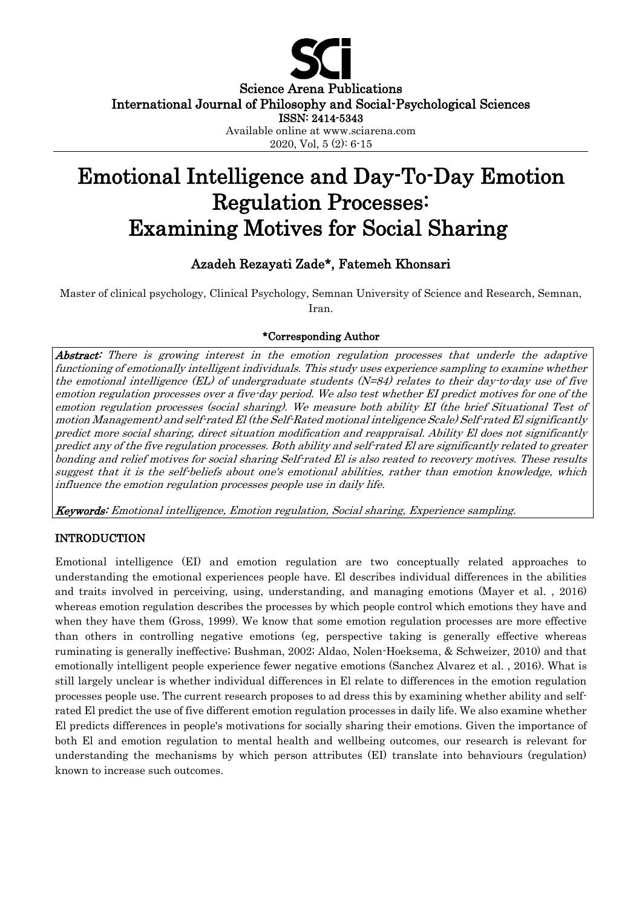

Science Arena Publications International Journal of Philosophy and Social-Psychological Sciences

ISSN: 2414-5343

Available online at www.sciarena.com

2020, Vol, 5 (2): 6-15

# Emotional Intelligence and Day-To-Day Emotion Regulation Processes: Examining Motives for Social Sharing

## Azadeh Rezayati Zade\*, Fatemeh Khonsari

Master of clinical psychology, Clinical Psychology, Semnan University of Science and Research, Semnan, Iran.

## \*Corresponding Author

Abstract: There is growing interest in the emotion regulation processes that underle the adaptive functioning of emotionally intelligent individuals. This study uses experience sampling to examine whether the emotional intelligence  $(EL)$  of undergraduate students  $(N=84)$  relates to their day-to-day use of five emotion regulation processes over a five-day period. We also test whether EI predict motives for one of the emotion regulation processes (social sharing). We measure both ability EI (the brief Situational Test of motion Management) and self-rated El (the Self-Rated motional inteligence Scale) Self-rated El significantly predict more social sharing, direct situation modification and reappraisal. Ability El does not significantly predict any of the five regulation processes. Both ability and self-rated El are significantly related to greater bonding and relief motives for social sharing Self-rated El is also reated to recovery motives. These results suggest that it is the self-beliefs about one's emotional abilities, rather than emotion knowledge, which influence the emotion regulation processes people use in daily life.

Keywords: Emotional intelligence, Emotion regulation, Social sharing, Experience sampling.

## INTRODUCTION

Emotional intelligence (EI) and emotion regulation are two conceptually related approaches to understanding the emotional experiences people have. El describes individual differences in the abilities and traits involved in perceiving, using, understanding, and managing emotions (Mayer et al. , 2016) whereas emotion regulation describes the processes by which people control which emotions they have and when they have them (Gross, 1999). We know that some emotion regulation processes are more effective than others in controlling negative emotions (eg, perspective taking is generally effective whereas ruminating is generally ineffective; Bushman, 2002; Aldao, Nolen-Hoeksema, & Schweizer, 2010) and that emotionally intelligent people experience fewer negative emotions (Sanchez Alvarez et al. , 2016). What is still largely unclear is whether individual differences in El relate to differences in the emotion regulation processes people use. The current research proposes to ad dress this by examining whether ability and selfrated El predict the use of five different emotion regulation processes in daily life. We also examine whether El predicts differences in people's motivations for socially sharing their emotions. Given the importance of both El and emotion regulation to mental health and wellbeing outcomes, our research is relevant for understanding the mechanisms by which person attributes (EI) translate into behaviours (regulation) known to increase such outcomes.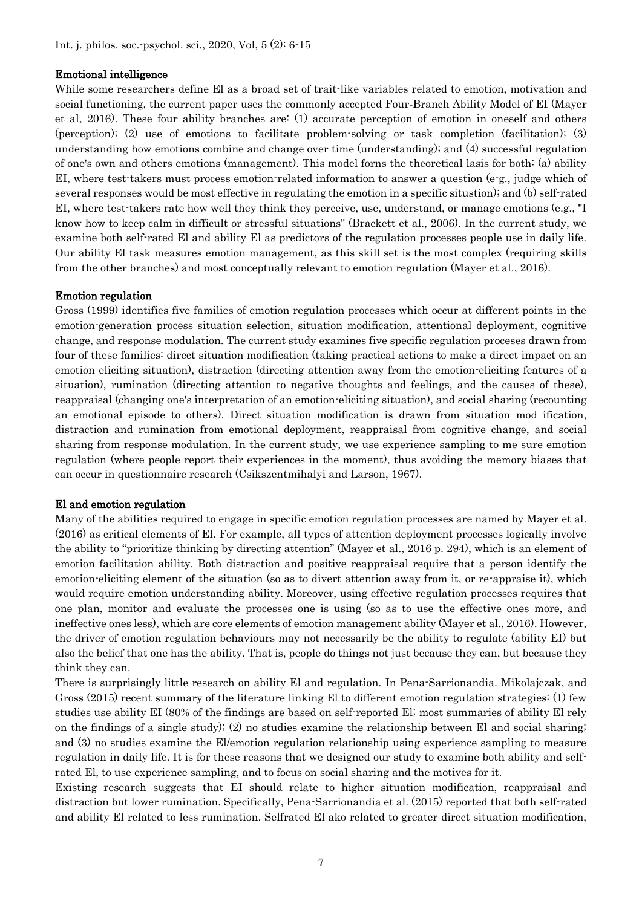#### Emotional intelligence

While some researchers define El as a broad set of trait-like variables related to emotion, motivation and social functioning, the current paper uses the commonly accepted Four -Branch Ability Model of EI (Mayer et al, 2016). These four ability branches are: (1) accurate perception of emotion in oneself and others (perception); (2) use of emotions to facilitate problem-solving or task completion (facilitation); (3) understanding how emotions combine and change over time (understanding); and (4) successful regulation of one's own and others emotions (management). This model forns the theoretical lasis for both: (a) ability EI, where test-takers must process emotion-related information to answer a question (e-g., judge which of several responses would be most effective in regulating the emotion in a specific situstion); and (b) self-rated EI, where test-takers rate how well they think they perceive, use, understand, or manage emotions (e.g., "I know how to keep calm in difficult or stressful situations" (Brackett et al., 2006). In the current study, we examine both self-rated El and ability El as predictors of the regulation processes people use in daily life. Our ability El task measures emotion management, as this skill set is the most complex (requiring skills from the other branches) and most conceptually relevant to emotion regulation (Mayer et al., 2016).

#### Emotion regulation

Gross (1999) identifies five families of emotion regulation processes which occur at different points in the emotion-generation process situation selection, situation modification, attentional deployment, cognitive change, and response modulation. The current study examines five specific regulation proceses drawn from four of these families: direct situation modification (taking practical actions to make a direct impact on an emotion eliciting situation), distraction (directing attention away from the emotion-eliciting features of a situation), rumination (directing attention to negative thoughts and feelings, and the causes of these), reappraisal (changing one's interpretation of an emotion-eliciting situation), and social sharing (recounting an emotional episode to others). Direct situation modification is drawn from situation mod ification, distraction and rumination from emotional deployment, reappraisal from cognitive change, and social sharing from response modulation. In the current study, we use experience sampling to me sure emotion regulation (where people report their experiences in the moment), thus avoiding the memory biases that can occur in questionnaire research (Csikszentmihalyi and Larson, 1967).

#### El and emotion regulation

Many of the abilities required to engage in specific emotion regulation processes are named by Mayer et al. (2016) as critical elements of El. For example, all types of attention deployment processes logically involve the ability to "prioritize thinking by directing attention" (Mayer et al., 2016 p. 294), which is an element of emotion facilitation ability. Both distraction and positive reappraisal require that a person identify the emotion-eliciting element of the situation (so as to divert attention away from it, or re-appraise it), which would require emotion understanding ability. Moreover, using effective regulation processes requires that one plan, monitor and evaluate the processes one is using (so as to use the effective ones more, and ineffective ones less), which are core elements of emotion management ability (Mayer et al., 2016). However, the driver of emotion regulation behaviours may not necessarily be the ability to regulate (ability EI) but also the belief that one has the ability. That is, people do things not just because they can, but because they think they can.

There is surprisingly little research on ability El and regulation. In Pena-Sarrionandia. Mikolajczak, and Gross (2015) recent summary of the literature linking El to different emotion regulation strategies: (1) few studies use ability EI (80% of the findings are based on self-reported El; most summaries of ability El rely on the findings of a single study); (2) no studies examine the relationship between El and social sharing; and (3) no studies examine the El/emotion regulation relationship using experience sampling to measure regulation in daily life. It is for these reasons that we designed our study to examine both ability and selfrated El, to use experience sampling, and to focus on social sharing and the motives for it.

Existing research suggests that EI should relate to higher situation modification, reappraisal and distraction but lower rumination. Specifically, Pena-Sarrionandia et al. (2015) reported that both self-rated and ability El related to less rumination. Selfrated El ako related to greater direct situation modification,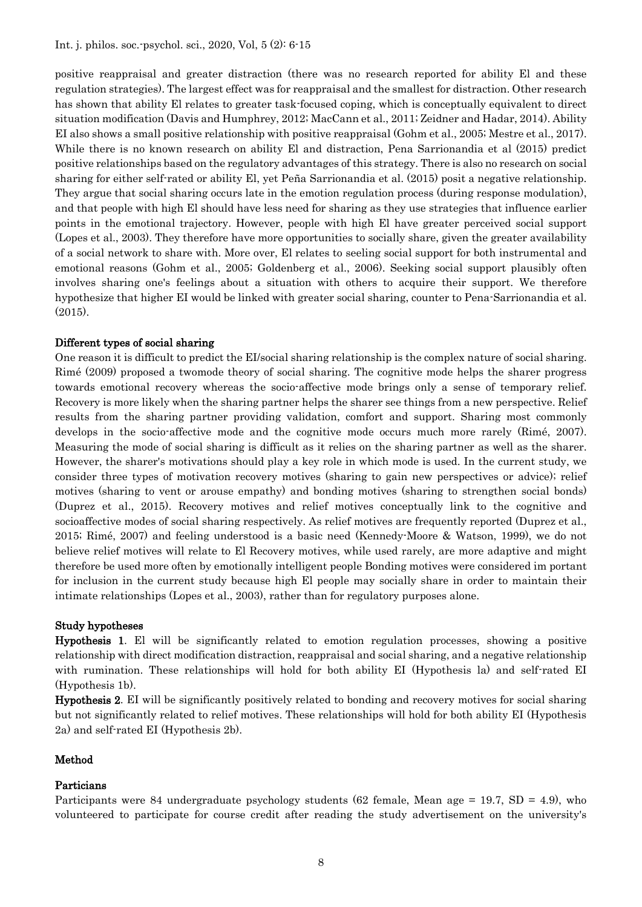positive reappraisal and greater distraction (there was no research reported for ability El and these regulation strategies). The largest effect was for reappraisal and the smallest for distraction. Other research has shown that ability El relates to greater task-focused coping, which is conceptually equivalent to direct situation modification (Davis and Humphrey, 2012; MacCann et al., 2011; Zeidner and Hadar, 2014). Ability EI also shows a small positive relationship with positive reappraisal (Gohm et al., 2005; Mestre et al., 2017). While there is no known research on ability El and distraction, Pena Sarrionandia et al (2015) predict positive relationships based on the regulatory advantages of this strategy. There is also no research on social sharing for either self-rated or ability El, yet Peña Sarrionandia et al. (2015) posit a negative relationship. They argue that social sharing occurs late in the emotion regulation process (during response modulation), and that people with high El should have less need for sharing as they use strategies that influence earlier points in the emotional trajectory. However, people with high El have greater perceived social support (Lopes et al., 2003). They therefore have more opportunities to socially share, given the greater availability of a social network to share with. More over, El relates to seeling social support for both instrumental and emotional reasons (Gohm et al., 2005; Goldenberg et al., 2006). Seeking social support plausibly often involves sharing one's feelings about a situation with others to acquire their support. We therefore hypothesize that higher EI would be linked with greater social sharing, counter to Pena-Sarrionandia et al. (2015).

#### Different types of social sharing

One reason it is difficult to predict the EI/social sharing relationship is the complex nature of social sharing. Rimé (2009) proposed a twomode theory of social sharing. The cognitive mode helps the sharer progress towards emotional recovery whereas the socio-affective mode brings only a sense of temporary relief. Recovery is more likely when the sharing partner helps the sharer see things from a new perspective. Relief results from the sharing partner providing validation, comfort and support. Sharing most commonly develops in the socio-affective mode and the cognitive mode occurs much more rarely (Rimé, 2007). Measuring the mode of social sharing is difficult as it relies on the sharing partner as well as the sharer. However, the sharer's motivations should play a key role in which mode is used. In the current study, we consider three types of motivation recovery motives (sharing to gain new perspectives or advice); relief motives (sharing to vent or arouse empathy) and bonding motives (sharing to strengthen social bonds) (Duprez et al., 2015). Recovery motives and relief motives conceptually link to the cognitive and socioaffective modes of social sharing respectively. As relief motives are frequently reported (Duprez et al., 2015; Rimé, 2007) and feeling understood is a basic need (Kennedy-Moore & Watson, 1999), we do not believe relief motives will relate to El Recovery motives, while used rarely, are more adaptive and might therefore be used more often by emotionally intelligent people Bonding motives were considered im portant for inclusion in the current study because high El people may socially share in order to maintain their intimate relationships (Lopes et al., 2003), rather than for regulatory purposes alone.

## Study hypotheses

Hypothesis 1. El will be significantly related to emotion regulation processes, showing a positive relationship with direct modification distraction, reappraisal and social sharing, and a negative relationship with rumination. These relationships will hold for both ability EI (Hypothesis la) and self-rated EI (Hypothesis 1b).

Hypothesis 2. EI will be significantly positively related to bonding and recovery motives for social sharing but not significantly related to relief motives. These relationships will hold for both ability EI (Hypothesis 2a) and self-rated EI (Hypothesis 2b).

## Method

#### Particians

Participants were 84 undergraduate psychology students (62 female, Mean age = 19.7, SD = 4.9), who volunteered to participate for course credit after reading the study advertisement on the university's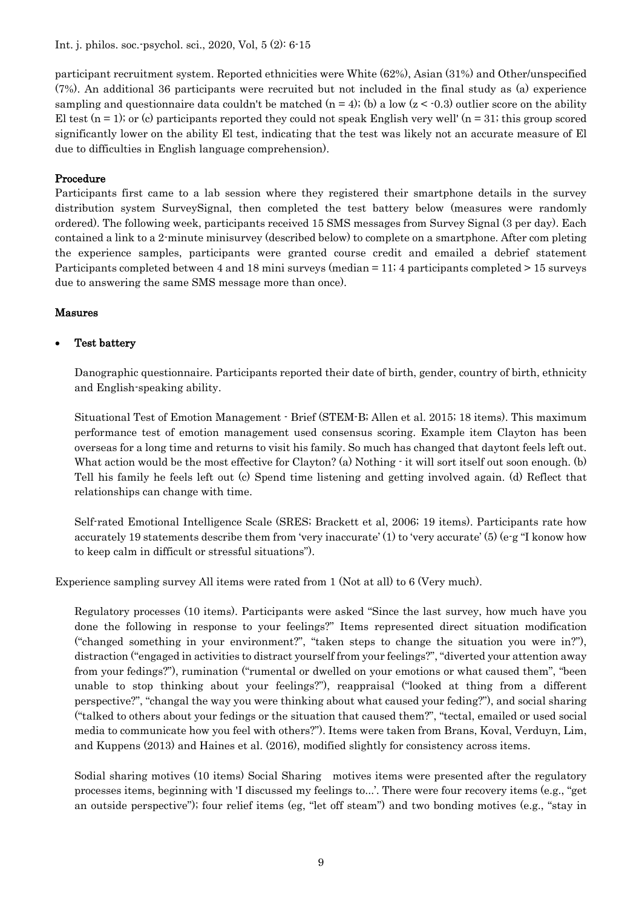Int. j. philos. soc.-psychol. sci., 2020, Vol, 5 (2): 6-15

participant recruitment system. Reported ethnicities were White (62%), Asian (31%) and Other/unspecified (7%). An additional 36 participants were recruited but not included in the final study as (a) experience sampling and questionnaire data couldn't be matched  $(n = 4)$ ; (b) a low  $(z < 0.3)$  outlier score on the ability El test  $(n = 1)$ ; or (c) participants reported they could not speak English very well'  $(n = 31)$ ; this group scored significantly lower on the ability El test, indicating that the test was likely not an accurate measure of El due to difficulties in English language comprehension).

## Procedure

Participants first came to a lab session where they registered their smartphone details in the survey distribution system SurveySignal, then completed the test battery below (measures were randomly ordered). The following week, participants received 15 SMS messages from Survey Signal (3 per day). Each contained a link to a 2-minute minisurvey (described below) to complete on a smartphone. After com pleting the experience samples, participants were granted course credit and emailed a debrief statement Participants completed between 4 and 18 mini surveys (median = 11; 4 participants completed > 15 surveys due to answering the same SMS message more than once).

## Masures

## Test battery

Danographic questionnaire. Participants reported their date of birth, gender, country of birth, ethnicity and English-speaking ability.

Situational Test of Emotion Management - Brief (STEM-B; Allen et al. 2015; 18 items). This maximum performance test of emotion management used consensus scoring. Example item Clayton has been overseas for a long time and returns to visit his family. So much has changed that daytont feels left out. What action would be the most effective for Clayton? (a) Nothing  $\cdot$  it will sort itself out soon enough. (b) Tell his family he feels left out (c) Spend time listening and getting involved again. (d) Reflect that relationships can change with time.

Self-rated Emotional Intelligence Scale (SRES; Brackett et al, 2006; 19 items). Participants rate how accurately 19 statements describe them from 'very inaccurate' (1) to 'very accurate' (5) (e-g "I konow how to keep calm in difficult or stressful situations").

Experience sampling survey All items were rated from 1 (Not at all) to 6 (Very much).

Regulatory processes (10 items). Participants were asked "Since the last survey, how much have you done the following in response to your feelings?" Items represented direct situation modification ("changed something in your environment?", "taken steps to change the situation you were in?"), distraction ("engaged in activities to distract yourself from your feelings?", "diverted your attention away from your fedings?"), rumination ("rumental or dwelled on your emotions or what caused them", "been unable to stop thinking about your feelings?"), reappraisal ("looked at thing from a different perspective?", "changal the way you were thinking about what caused your feding?"), and social sharing ("talked to others about your fedings or the situation that caused them?", "tectal, emailed or used social media to communicate how you feel with others?"). Items were taken from Brans, Koval, Verduyn, Lim, and Kuppens (2013) and Haines et al. (2016), modified slightly for consistency across items.

Sodial sharing motives (10 items) Social Sharing motives items were presented after the regulatory processes items, beginning with 'I discussed my feelings to...'. There were four recovery items (e.g., "get an outside perspective"); four relief items (eg, "let off steam") and two bonding motives (e.g., "stay in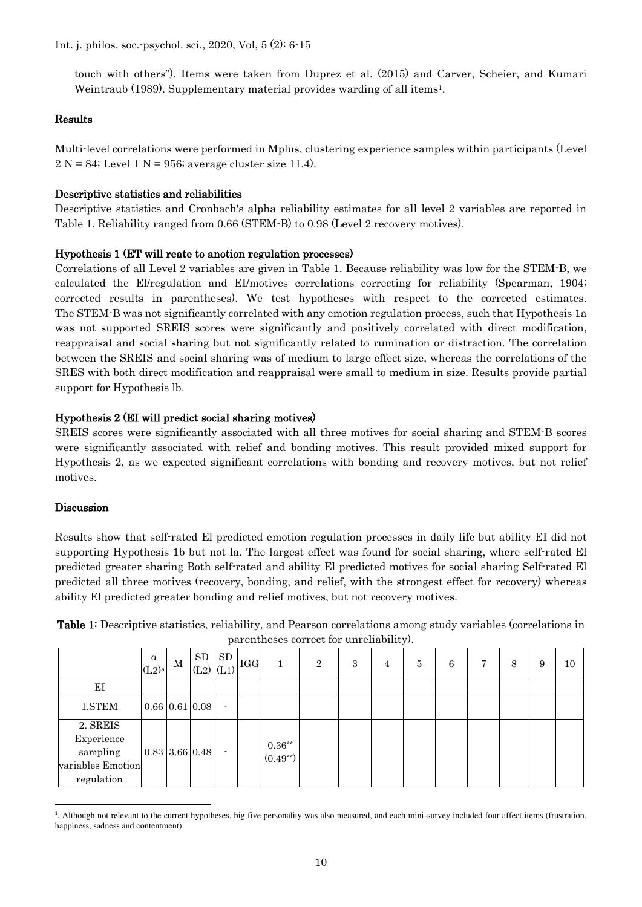touch with others"). Items were taken from Duprez et al. (2015) and Carver, Scheier, and Kumari Weintraub (1989). Supplementary material provides warding of all items<sup>1</sup>.

#### Results

Multi-level correlations were performed in Mplus, clustering experience samples within participants (Level  $2 N = 84$ ; Level 1 N = 956; average cluster size 11.4).

#### Descriptive statistics and reliabilities

Descriptive statistics and Cronbach's alpha reliability estimates for all level 2 variables are reported in Table 1. Reliability ranged from 0.66 (STEM-B) to 0.98 (Level 2 recovery motives).

#### Hypothesis 1 (ET will reate to anotion regulation processes)

Correlations of all Level 2 variables are given in Table 1. Because reliability was low for the STEM-B, we calculated the El/regulation and EI/motives correlations correcting for reliability (Spearman, 1904; corrected results in parentheses). We test hypotheses with respect to the corrected estimates. The STEM-B was not significantly correlated with any emotion regulation process, such that Hypothesis 1a was not supported SREIS scores were significantly and positively correlated with direct modification, reappraisal and social sharing but not significantly related to rumination or distraction. The correlation between the SREIS and social sharing was of medium to large effect size, whereas the correlations of the SRES with both direct modification and reappraisal were small to medium in size. Results provide partial support for Hypothesis lb.

#### Hypothesis 2 (EI will predict social sharing motives)

SREIS scores were significantly associated with all three motives for social sharing and STEM-B scores were significantly associated with relief and bonding motives. This result provided mixed support for Hypothesis 2, as we expected significant correlations with bonding and recovery motives, but not relief motives.

#### Discussion

Results show that self-rated El predicted emotion regulation processes in daily life but ability EI did not supporting Hypothesis 1b but not la. The largest effect was found for social sharing, where self-rated El predicted greater sharing Both self-rated and ability El predicted motives for social sharing Self-rated El predicted all three motives (recovery, bonding, and relief, with the strongest effect for recovery) whereas ability El predicted greater bonding and relief motives, but not recovery motives.

| Table 1: Descriptive statistics, reliability, and Pearson correlations among study variables (correlations in |  |
|---------------------------------------------------------------------------------------------------------------|--|
| parentheses correct for unreliability).                                                                       |  |

|                                                                       | $\alpha$<br>$(L2)$ a | М | SD<br>$\cdot$  (L2) $ _{(L1)}$  IGG      | SD             | 1                               | $\mathbf{2}$ | 3 | 4 | 5 | 6 | 7 | 8 | 9 | 10 |
|-----------------------------------------------------------------------|----------------------|---|------------------------------------------|----------------|---------------------------------|--------------|---|---|---|---|---|---|---|----|
| ΕI                                                                    |                      |   |                                          |                |                                 |              |   |   |   |   |   |   |   |    |
| 1.STEM                                                                |                      |   | $0.66 \,   \, 0.61 \,   \, 0.08 \,   \,$ | ۰              |                                 |              |   |   |   |   |   |   |   |    |
| 2. SREIS<br>Experience<br>sampling<br>variables Emotion<br>regulation |                      |   | $0.83 \mid 3.66 \mid 0.48 \mid$          | $\blacksquare$ | $0.36^{\ast\ast}$<br>$(0.49**)$ |              |   |   |   |   |   |   |   |    |

<sup>&</sup>lt;sup>1</sup>. Although not relevant to the current hypotheses, big five personality was also measured, and each mini-survey included four affect items (frustration, happiness, sadness and contentment).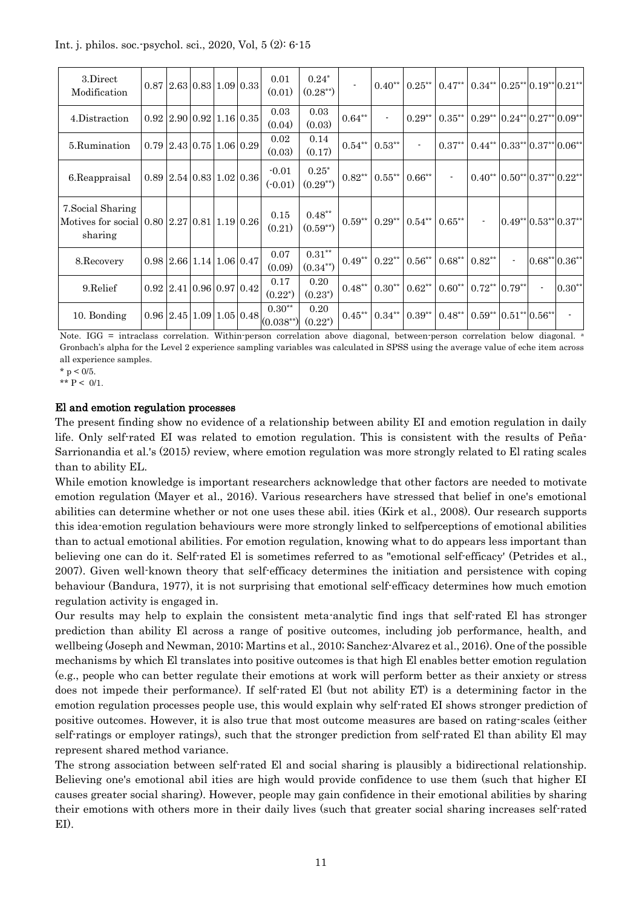|  | Int. j. philos. soc. psychol. sci., 2020, Vol. 5 (2): 6-15 |  |  |  |  |
|--|------------------------------------------------------------|--|--|--|--|
|--|------------------------------------------------------------|--|--|--|--|

| 3.Direct<br>Modification                                                              |                                    |  | $0.87$ 2.63 0.83 1.09 0.33                     | 0.01<br>(0.01)                                                                                                 | $0.24*$<br>$(0.28^{**})$ |                   |                     |                          | $0.40^{**}$   $0.25^{**}$   $0.47^{**}$   $0.34^{**}$   $0.25^{**}$   $0.19^{**}$   $0.21^{**}$ |                                                                      |                          |                              |
|---------------------------------------------------------------------------------------|------------------------------------|--|------------------------------------------------|----------------------------------------------------------------------------------------------------------------|--------------------------|-------------------|---------------------|--------------------------|-------------------------------------------------------------------------------------------------|----------------------------------------------------------------------|--------------------------|------------------------------|
| 4.Distraction                                                                         |                                    |  | $0.92 \mid 2.90 \mid 0.92 \mid 1.16 \mid 0.35$ | 0.03<br>(0.04)                                                                                                 | 0.03<br>(0.03)           | $0.64^{\ast\ast}$ | $\blacksquare$      | $0.29***$                | $0.35***$                                                                                       | $0.29**$ 0.24** 0.27** 0.09**                                        |                          |                              |
| 5.Rumination                                                                          |                                    |  | $0.79$   2.43   0.75   1.06   0.29             | 0.02<br>(0.03)                                                                                                 | 0.14<br>(0.17)           | $0.54^{\ast\ast}$ | $0.53***$           | $\overline{\phantom{a}}$ | $0.37***$                                                                                       | $0.44**$ 0.33** 0.37** 0.06**                                        |                          |                              |
| 6. Reappraisal                                                                        |                                    |  | $0.89$   2.54   $0.83$   $1.02$   $0.36$       | $-0.01$<br>$(-0.01)$                                                                                           | $0.25*$<br>$(0.29^{**})$ | $0.82**$          | $0.55***$           | $0.66***$                | $\blacksquare$                                                                                  | $0.40^{**}$ 0.50 <sup>**</sup> 0.37 <sup>**</sup> 0.22 <sup>**</sup> |                          |                              |
| 7. Social Sharing<br>Motives for social $0.80$ $2.27$ $0.81$ $1.19$ $0.26$<br>sharing |                                    |  |                                                | 0.15<br>(0.21)                                                                                                 | $0.48**$<br>$(0.59**)$   | $0.59***$         | $0.29***$ $0.54***$ |                          | $0.65**$                                                                                        | $\overline{\phantom{a}}$                                             |                          | $0.49** 0.53** 0.37** $      |
| 8.Recovery                                                                            | $0.98$   2.66   1.14   1.06   0.47 |  |                                                | 0.07<br>(0.09)                                                                                                 | $0.31**$<br>$(0.34**)$   | $0.49**$          | $0.22***$           | $0.56***$                | $0.68***$                                                                                       | $0.82***$                                                            |                          | $0.68**0.36**$               |
| 9. Relief                                                                             | $0.92$   2.41   0.96   0.97   0.42 |  |                                                | 0.17<br>$(0.22^*)$                                                                                             | 0.20<br>$(0.23^*)$       | $0.48***$         | $0.30**$ 0.62**     |                          | $0.60**$                                                                                        | $0.72**$ 0.79**                                                      | $\overline{\phantom{a}}$ | $0.30**$                     |
| 10. Bonding                                                                           |                                    |  |                                                | $0.30***$<br>$\left  0.96 \right  2.45 \left  1.09 \right  1.05 \left  0.48 \right  \left  0.038^{**} \right $ | 0.20<br>$(0.22^*)$       | $0.45***$         | $0.34***$           | $0.39***$                | $0.48***$                                                                                       | $0.59**$ 0.51** 0.56**                                               |                          | $\qquad \qquad \blacksquare$ |

Note. IGG = intraclass correlation. Within-person correlation above diagonal, between-person correlation below diagonal. <sup>a</sup> Gronbach's alpha for the Level 2 experience sampling variables was calculated in SPSS using the average value of eche item across all experience samples.

\*  $p < 0/5$ .

\*\*  $P < 0/1$ .

## El and emotion regulation processes

The present finding show no evidence of a relationship between ability EI and emotion regulation in daily life. Only self-rated EI was related to emotion regulation. This is consistent with the results of Peña-Sarrionandia et al.'s (2015) review, where emotion regulation was more strongly related to El rating scales than to ability EL.

While emotion knowledge is important researchers acknowledge that other factors are needed to motivate emotion regulation (Mayer et al., 2016). Various researchers have stressed that belief in one's emotional abilities can determine whether or not one uses these abil. ities (Kirk et al., 2008). Our research supports this idea-emotion regulation behaviours were more strongly linked to selfperceptions of emotional abilities than to actual emotional abilities. For emotion regulation, knowing what to do appears less important than believing one can do it. Self-rated El is sometimes referred to as "emotional self-efficacy' (Petrides et al., 2007). Given well-known theory that self-efficacy determines the initiation and persistence with coping behaviour (Bandura, 1977), it is not surprising that emotional self-efficacy determines how much emotion regulation activity is engaged in.

Our results may help to explain the consistent meta-analytic find ings that self-rated El has stronger prediction than ability El across a range of positive outcomes, including job performance, health, and wellbeing (Joseph and Newman, 2010; Martins et al., 2010; Sanchez-Alvarez et al., 2016). One of the possible mechanisms by which El translates into positive outcomes is that high El enables better emotion regulation (e.g., people who can better regulate their emotions at work will perform better as their anxiety or stress does not impede their performance). If self-rated El (but not ability ET) is a determining factor in the emotion regulation processes people use, this would explain why self-rated EI shows stronger prediction of positive outcomes. However, it is also true that most outcome measures are based on rating-scales (either self-ratings or employer ratings), such that the stronger prediction from self-rated El than ability El may represent shared method variance.

The strong association between self-rated El and social sharing is plausibly a bidirectional relationship. Believing one's emotional abil ities are high would provide confidence to use them (such that higher EI causes greater social sharing). However, people may gain confidence in their emotional abilities by sharing their emotions with others more in their daily lives (such that greater social sharing increases self-rated EI).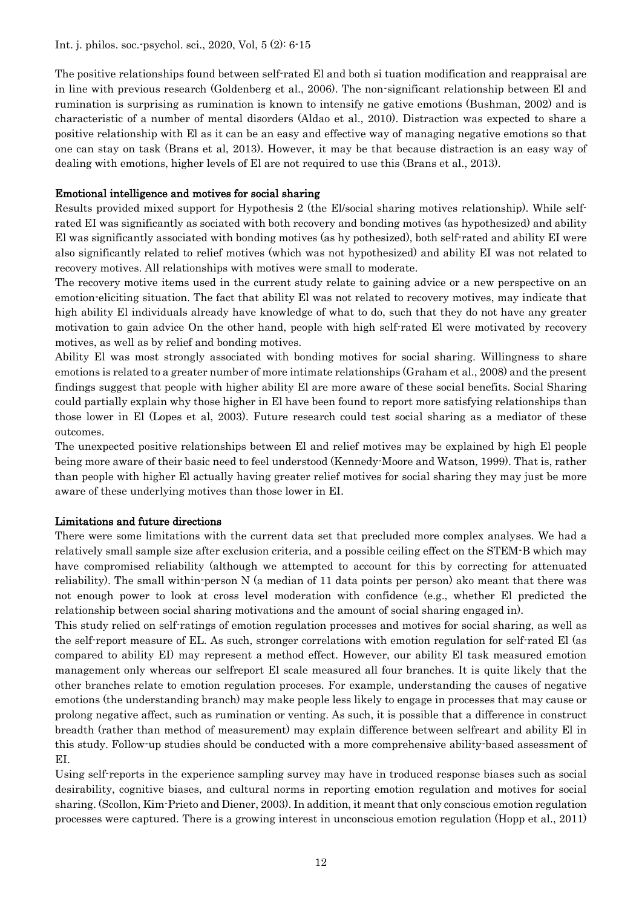The positive relationships found between self-rated El and both si tuation modification and reappraisal are in line with previous research (Goldenberg et al., 2006). The non-significant relationship between El and rumination is surprising as rumination is known to intensify ne gative emotions (Bushman, 2002) and is characteristic of a number of mental disorders (Aldao et al., 2010). Distraction was expected to share a positive relationship with El as it can be an easy and effective way of managing negative emotions so that one can stay on task (Brans et al, 2013). However, it may be that because distraction is an easy way of dealing with emotions, higher levels of El are not required to use this (Brans et al., 2013).

#### Emotional intelligence and motives for social sharing

Results provided mixed support for Hypothesis 2 (the El/social sharing motives relationship). While selfrated EI was significantly as sociated with both recovery and bonding motives (as hypothesized) and ability El was significantly associated with bonding motives (as hy pothesized), both self-rated and ability EI were also significantly related to relief motives (which was not hypothesized) and ability EI was not related to recovery motives. All relationships with motives were small to moderate.

The recovery motive items used in the current study relate to gaining advice or a new perspective on an emotion-eliciting situation. The fact that ability El was not related to recovery motives, may indicate that high ability El individuals already have knowledge of what to do, such that they do not have any greater motivation to gain advice On the other hand, people with high self-rated El were motivated by recovery motives, as well as by relief and bonding motives.

Ability El was most strongly associated with bonding motives for social sharing. Willingness to share emotions is related to a greater number of more intimate relationships (Graham et al., 2008) and the present findings suggest that people with higher ability El are more aware of these social benefits. Social Sharing could partially explain why those higher in El have been found to report more satisfying relationships than those lower in El (Lopes et al, 2003). Future research could test social sharing as a mediator of these outcomes.

The unexpected positive relationships between El and relief motives may be explained by high El people being more aware of their basic need to feel understood (Kennedy-Moore and Watson, 1999). That is, rather than people with higher El actually having greater relief motives for social sharing they may just be more aware of these underlying motives than those lower in EI.

#### Limitations and future directions

There were some limitations with the current data set that precluded more complex analyses. We had a relatively small sample size after exclusion criteria, and a possible ceiling effect on the STEM-B which may have compromised reliability (although we attempted to account for this by correcting for attenuated reliability). The small within-person N (a median of 11 data points per person) ako meant that there was not enough power to look at cross level moderation with confidence (e.g., whether El predicted the relationship between social sharing motivations and the amount of social sharing engaged in).

This study relied on self-ratings of emotion regulation processes and motives for social sharing, as well as the self-report measure of EL. As such, stronger correlations with emotion regulation for self-rated El (as compared to ability EI) may represent a method effect. However, our ability El task measured emotion management only whereas our selfreport El scale measured all four branches. It is quite likely that the other branches relate to emotion regulation proceses. For example, understanding the causes of negative emotions (the understanding branch) may make people less likely to engage in processes that may cause or prolong negative affect, such as rumination or venting. As such, it is possible that a difference in construct breadth (rather than method of measurement) may explain difference between selfreart and ability El in this study. Follow-up studies should be conducted with a more comprehensive ability-based assessment of EI.

Using self-reports in the experience sampling survey may have in troduced response biases such as social desirability, cognitive biases, and cultural norms in reporting emotion regulation and motives for social sharing. (Scollon, Kim-Prieto and Diener, 2003). In addition, it meant that only conscious emotion regulation processes were captured. There is a growing interest in unconscious emotion regulation (Hopp et al., 2011)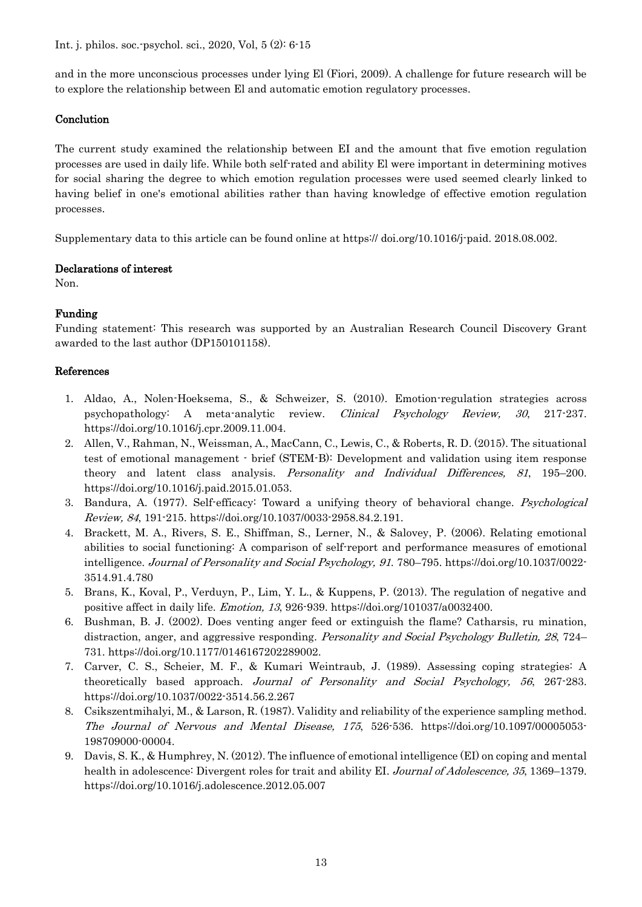Int. j. philos. soc.-psychol. sci., 2020, Vol, 5 (2): 6-15

and in the more unconscious processes under lying El (Fiori, 2009). A challenge for future research will be to explore the relationship between El and automatic emotion regulatory processes.

## **Conclution**

The current study examined the relationship between EI and the amount that five emotion regulation processes are used in daily life. While both self-rated and ability El were important in determining motives for social sharing the degree to which emotion regulation processes were used seemed clearly linked to having belief in one's emotional abilities rather than having knowledge of effective emotion regulation processes.

Supplementary data to this article can be found online at https:// doi.org/10.1016/j-paid. 2018.08.002.

#### Declarations of interest

Non.

## Funding

Funding statement: This research was supported by an Australian Research Council Discovery Grant awarded to the last author (DP150101158).

## References

- 1. Aldao, A., Nolen-Hoeksema, S., & Schweizer, S. (2010). Emotion-regulation strategies across psychopathology: A meta-analytic review. Clinical Psychology Review, 30, 217-237. https://doi.org/10.1016/j.cpr.2009.11.004.
- 2. Allen, V., Rahman, N., Weissman, A., MacCann, C., Lewis, C., & Roberts, R. D. (2015). The situational test of emotional management - brief (STEM-B): Development and validation using item response theory and latent class analysis. Personality and Individual Differences, 81, 195–200. https://doi.org/10.1016/j.paid.2015.01.053.
- 3. Bandura, A. (1977). Self-efficacy: Toward a unifying theory of behavioral change. Psychological Review, 84, 191-215. https://doi.org/10.1037/0033-2958.84.2.191.
- 4. Brackett, M. A., Rivers, S. E., Shiffman, S., Lerner, N., & Salovey, P. (2006). Relating emotional abilities to social functioning: A comparison of self-report and performance measures of emotional intelligence. Journal of Personality and Social Psychology, 91. 780–795. https://doi.org/10.1037/0022- 3514.91.4.780
- 5. Brans, K., Koval, P., Verduyn, P., Lim, Y. L., & Kuppens, P. (2013). The regulation of negative and positive affect in daily life. Emotion, 13, 926-939. https://doi.org/101037/a0032400.
- 6. Bushman, B. J. (2002). Does venting anger feed or extinguish the flame? Catharsis, ru mination, distraction, anger, and aggressive responding. Personality and Social Psychology Bulletin, 28, 724– 731. https://doi.org/10.1177/0146167202289002.
- 7. Carver, C. S., Scheier, M. F., & Kumari Weintraub, J. (1989). Assessing coping strategies: A theoretically based approach. Journal of Personality and Social Psychology, 56, 267-283. https://doi.org/10.1037/0022-3514.56.2.267
- 8. Csikszentmihalyi, M., & Larson, R. (1987). Validity and reliability of the experience sampling method. The Journal of Nervous and Mental Disease, 175, 526-536. https://doi.org/10.1097/00005053- 198709000-00004.
- 9. Davis, S. K., & Humphrey, N. (2012). The influence of emotional intelligence (EI) on coping and mental health in adolescence: Divergent roles for trait and ability EI. Journal of Adolescence, 35, 1369–1379. https://doi.org/10.1016/j.adolescence.2012.05.007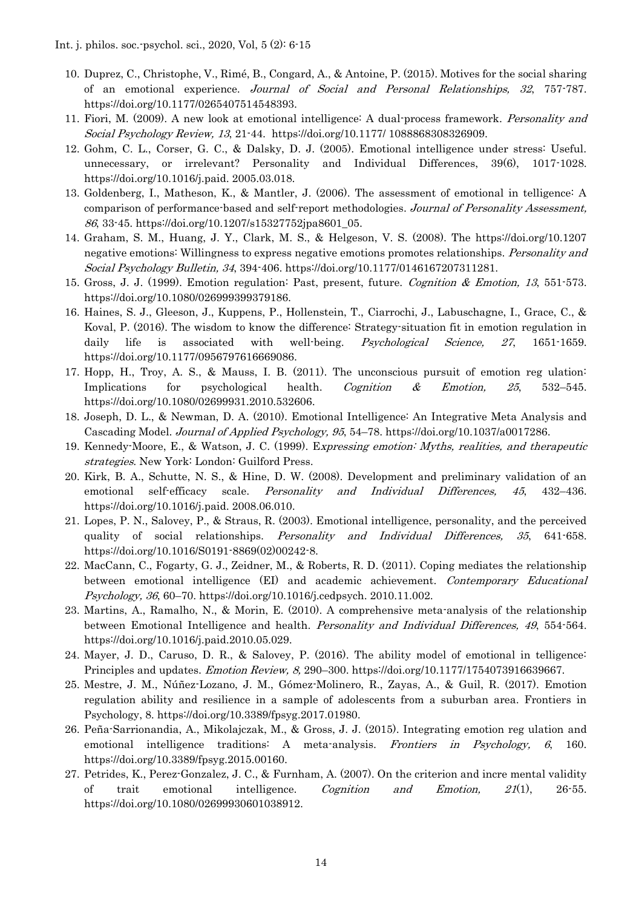- 10. Duprez, C., Christophe, V., Rimé, B., Congard, A., & Antoine, P. (2015). Motives for the social sharing of an emotional experience. Journal of Social and Personal Relationships, 32, 757-787. https://doi.org/10.1177/0265407514548393.
- 11. Fiori, M. (2009). A new look at emotional intelligence: A dual-process framework. Personality and Social Psychology Review, 13, 21-44. https://doi.org/10.1177/ 1088868308326909.
- 12. Gohm, C. L., Corser, G. C., & Dalsky, D. J. (2005). Emotional intelligence under stress: Useful. unnecessary, or irrelevant? Personality and Individual Differences, 39(6), 1017-1028. https://doi.org/10.1016/j.paid. 2005.03.018.
- 13. Goldenberg, I., Matheson, K., & Mantler, J. (2006). The assessment of emotional in telligence: A comparison of performance-based and self-report methodologies. Journal of Personality Assessment, 86, 33-45. https://doi.org/10.1207/s15327752jpa8601\_05.
- 14. Graham, S. M., Huang, J. Y., Clark, M. S., & Helgeson, V. S. (2008). The https://doi.org/10.1207 negative emotions: Willingness to express negative emotions promotes relationships. Personality and Social Psychology Bulletin, 34, 394-406. https://doi.org/10.1177/0146167207311281.
- 15. Gross, J. J. (1999). Emotion regulation: Past, present, future. Cognition & Emotion, 13, 551-573. https://doi.org/10.1080/026999399379186.
- 16. Haines, S. J., Gleeson, J., Kuppens, P., Hollenstein, T., Ciarrochi, J., Labuschagne, I., Grace, C., & Koval, P. (2016). The wisdom to know the difference: Strategy-situation fit in emotion regulation in daily life is associated with well-being. Psychological Science, 27, 1651-1659. https://doi.org/10.1177/0956797616669086.
- 17. Hopp, H., Troy, A. S., & Mauss, I. B. (2011). The unconscious pursuit of emotion reg ulation: Implications for psychological health. Cognition & Emotion, 25, 532–545. https://doi.org/10.1080/02699931.2010.532606.
- 18. Joseph, D. L., & Newman, D. A. (2010). Emotional Intelligence: An Integrative Meta Analysis and Cascading Model. Journal of Applied Psychology, 95, 54–78. https://doi.org/10.1037/a0017286.
- 19. Kennedy-Moore, E., & Watson, J. C. (1999). Expressing emotion: Myths, realities, and therapeutic strategies. New York: London: Guilford Press.
- 20. Kirk, B. A., Schutte, N. S., & Hine, D. W. (2008). Development and preliminary validation of an emotional self-efficacy scale. Personality and Individual Differences, 45, 432–436. https://doi.org/10.1016/j.paid. 2008.06.010.
- 21. Lopes, P. N., Salovey, P., & Straus, R. (2003). Emotional intelligence, personality, and the perceived quality of social relationships. Personality and Individual Differences, 35, 641-658. https://doi.org/10.1016/S0191-8869(02)00242-8.
- 22. MacCann, C., Fogarty, G. J., Zeidner, M., & Roberts, R. D. (2011). Coping mediates the relationship between emotional intelligence (EI) and academic achievement. Contemporary Educational Psychology, 36, 60–70. https://doi.org/10.1016/j.cedpsych. 2010.11.002.
- 23. Martins, A., Ramalho, N., & Morin, E. (2010). A comprehensive meta-analysis of the relationship between Emotional Intelligence and health. Personality and Individual Differences, 49, 554-564. https://doi.org/10.1016/j.paid.2010.05.029.
- 24. Mayer, J. D., Caruso, D. R., & Salovey, P. (2016). The ability model of emotional in telligence: Principles and updates. Emotion Review, 8, 290–300. https://doi.org/10.1177/1754073916639667.
- 25. Mestre, J. M., Núñez-Lozano, J. M., Gómez-Molinero, R., Zayas, A., & Guil, R. (2017). Emotion regulation ability and resilience in a sample of adolescents from a suburban area. Frontiers in Psychology, 8. https://doi.org/10.3389/fpsyg.2017.01980.
- 26. Peña-Sarrionandia, A., Mikolajczak, M., & Gross, J. J. (2015). Integrating emotion reg ulation and emotional intelligence traditions: A meta-analysis. *Frontiers in Psychology*, 6, 160. https://doi.org/10.3389/fpsyg.2015.00160.
- 27. Petrides, K., Perez-Gonzalez, J. C., & Furnham, A. (2007). On the criterion and incre mental validity of trait emotional intelligence. Cognition and Emotion,  $2I(1)$ , 26-55. https://doi.org/10.1080/02699930601038912.